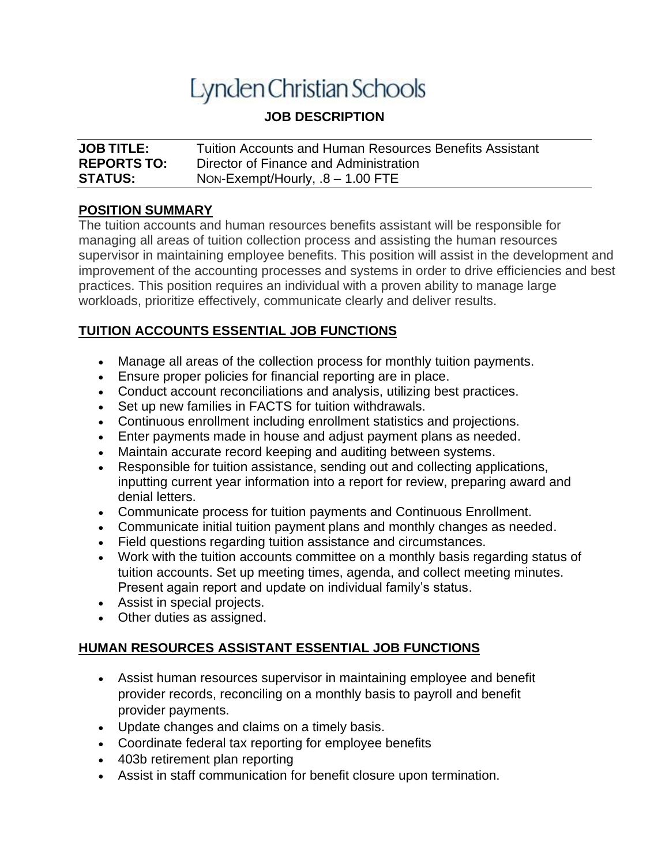# Lynden Christian Schools

# **JOB DESCRIPTION**

| <b>JOB TITLE:</b>  | <b>Tuition Accounts and Human Resources Benefits Assistant</b> |
|--------------------|----------------------------------------------------------------|
| <b>REPORTS TO:</b> | Director of Finance and Administration                         |
| <b>STATUS:</b>     | Non-Exempt/Hourly, $.8 - 1.00$ FTE                             |

## **POSITION SUMMARY**

The tuition accounts and human resources benefits assistant will be responsible for managing all areas of tuition collection process and assisting the human resources supervisor in maintaining employee benefits. This position will assist in the development and improvement of the accounting processes and systems in order to drive efficiencies and best practices. This position requires an individual with a proven ability to manage large workloads, prioritize effectively, communicate clearly and deliver results.

## **TUITION ACCOUNTS ESSENTIAL JOB FUNCTIONS**

- Manage all areas of the collection process for monthly tuition payments.
- Ensure proper policies for financial reporting are in place.
- Conduct account reconciliations and analysis, utilizing best practices.
- Set up new families in FACTS for tuition withdrawals.
- Continuous enrollment including enrollment statistics and projections.
- Enter payments made in house and adjust payment plans as needed.
- Maintain accurate record keeping and auditing between systems.
- Responsible for tuition assistance, sending out and collecting applications, inputting current year information into a report for review, preparing award and denial letters.
- Communicate process for tuition payments and Continuous Enrollment.
- Communicate initial tuition payment plans and monthly changes as needed.
- Field questions regarding tuition assistance and circumstances.
- Work with the tuition accounts committee on a monthly basis regarding status of tuition accounts. Set up meeting times, agenda, and collect meeting minutes. Present again report and update on individual family's status.
- Assist in special projects.
- Other duties as assigned.

## **HUMAN RESOURCES ASSISTANT ESSENTIAL JOB FUNCTIONS**

- Assist human resources supervisor in maintaining employee and benefit provider records, reconciling on a monthly basis to payroll and benefit provider payments.
- Update changes and claims on a timely basis.
- Coordinate federal tax reporting for employee benefits
- 403b retirement plan reporting
- Assist in staff communication for benefit closure upon termination.